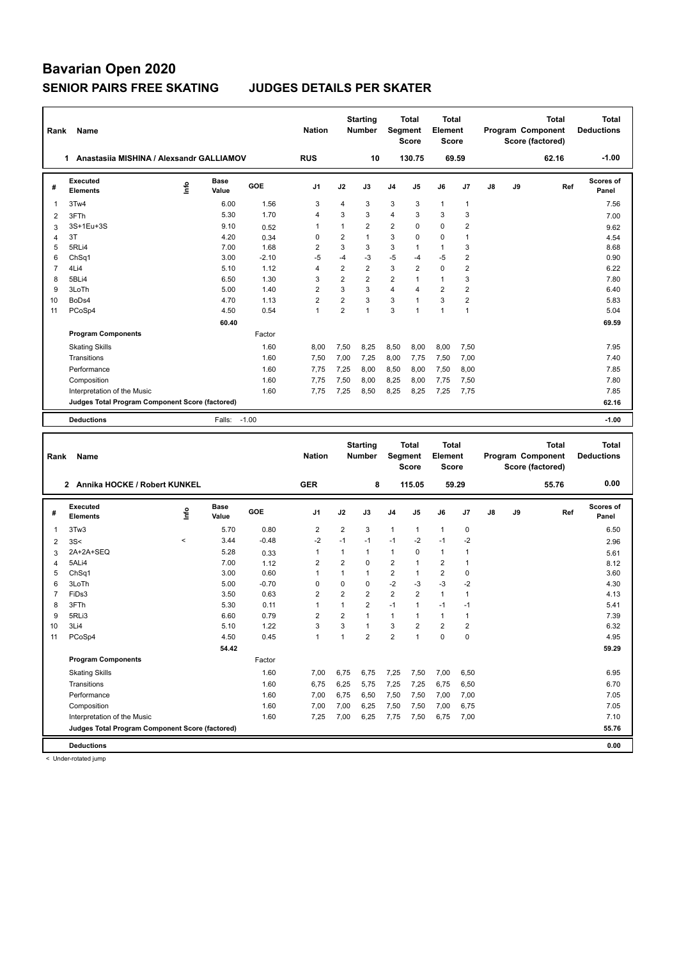| Rank           | <b>Name</b>                                     |    |                      |         | <b>Nation</b>  |                | <b>Starting</b><br><b>Number</b> | <b>Segment</b> | <b>Total</b><br><b>Score</b> | Total<br>Element<br><b>Score</b> |                |               |    | <b>Total</b><br>Program Component<br>Score (factored) | Total<br><b>Deductions</b> |
|----------------|-------------------------------------------------|----|----------------------|---------|----------------|----------------|----------------------------------|----------------|------------------------------|----------------------------------|----------------|---------------|----|-------------------------------------------------------|----------------------------|
|                | Anastasija MISHINA / Alexsandr GALLIAMOV<br>1.  |    |                      |         | <b>RUS</b>     |                | 10                               |                | 130.75                       | 69.59                            |                |               |    | 62.16                                                 | $-1.00$                    |
| #              | Executed<br><b>Elements</b>                     | ۴ů | <b>Base</b><br>Value | GOE     | J <sub>1</sub> | J2             | J3                               | J <sub>4</sub> | J <sub>5</sub>               | J6                               | J <sub>7</sub> | $\mathsf{J}8$ | J9 | Ref                                                   | Scores of<br>Panel         |
| $\overline{1}$ | 3Tw4                                            |    | 6.00                 | 1.56    | 3              | 4              | 3                                | 3              | 3                            | $\mathbf{1}$                     | $\overline{1}$ |               |    |                                                       | 7.56                       |
| 2              | 3FTh                                            |    | 5.30                 | 1.70    | $\overline{4}$ | 3              | 3                                | $\overline{4}$ | 3                            | 3                                | 3              |               |    |                                                       | 7.00                       |
| 3              | 3S+1Eu+3S                                       |    | 9.10                 | 0.52    | 1              | 1              | $\overline{2}$                   | $\overline{2}$ | $\Omega$                     | 0                                | 2              |               |    |                                                       | 9.62                       |
| 4              | 3T                                              |    | 4.20                 | 0.34    | 0              | $\overline{2}$ | 1                                | 3              | $\Omega$                     | 0                                | $\overline{1}$ |               |    |                                                       | 4.54                       |
| 5              | 5RLi4                                           |    | 7.00                 | 1.68    | $\overline{2}$ | 3              | 3                                | 3              | $\mathbf{1}$                 | $\mathbf{1}$                     | 3              |               |    |                                                       | 8.68                       |
| 6              | Ch <sub>Sq1</sub>                               |    | 3.00                 | $-2.10$ | $-5$           | $-4$           | $-3$                             | $-5$           | $-4$                         | $-5$                             | $\overline{2}$ |               |    |                                                       | 0.90                       |
| $\overline{7}$ | 4Li4                                            |    | 5.10                 | 1.12    | $\overline{4}$ | $\overline{2}$ | $\overline{2}$                   | 3              | $\overline{2}$               | 0                                | $\overline{2}$ |               |    |                                                       | 6.22                       |
| 8              | 5BLi4                                           |    | 6.50                 | 1.30    | 3              | $\overline{2}$ | $\overline{2}$                   | $\overline{2}$ | $\mathbf{1}$                 | $\mathbf{1}$                     | 3              |               |    |                                                       | 7.80                       |
| 9              | 3LoTh                                           |    | 5.00                 | 1.40    | $\overline{2}$ | 3              | 3                                | $\overline{4}$ | 4                            | $\overline{2}$                   | $\overline{2}$ |               |    |                                                       | 6.40                       |
| 10             | BoDs4                                           |    | 4.70                 | 1.13    | $\overline{2}$ | $\overline{2}$ | 3                                | 3              | 1                            | 3                                | $\overline{2}$ |               |    |                                                       | 5.83                       |
| 11             | PCoSp4                                          |    | 4.50                 | 0.54    | $\mathbf{1}$   | $\overline{2}$ | 1                                | 3              | 1                            | $\mathbf{1}$                     | $\overline{1}$ |               |    |                                                       | 5.04                       |
|                |                                                 |    | 60.40                |         |                |                |                                  |                |                              |                                  |                |               |    |                                                       | 69.59                      |
|                | <b>Program Components</b>                       |    |                      | Factor  |                |                |                                  |                |                              |                                  |                |               |    |                                                       |                            |
|                | <b>Skating Skills</b>                           |    |                      | 1.60    | 8,00           | 7,50           | 8.25                             | 8,50           | 8,00                         | 8,00                             | 7,50           |               |    |                                                       | 7.95                       |
|                | Transitions                                     |    |                      | 1.60    | 7,50           | 7,00           | 7,25                             | 8,00           | 7,75                         | 7,50                             | 7,00           |               |    |                                                       | 7.40                       |
|                | Performance                                     |    |                      | 1.60    | 7,75           | 7,25           | 8,00                             | 8,50           | 8,00                         | 7,50                             | 8,00           |               |    |                                                       | 7.85                       |
|                | Composition                                     |    |                      | 1.60    | 7,75           | 7,50           | 8,00                             | 8,25           | 8,00                         | 7,75                             | 7,50           |               |    |                                                       | 7.80                       |
|                | Interpretation of the Music                     |    |                      | 1.60    | 7,75           | 7,25           | 8,50                             | 8,25           | 8,25                         | 7,25                             | 7,75           |               |    |                                                       | 7.85                       |
|                | Judges Total Program Component Score (factored) |    |                      |         |                |                |                                  |                |                              |                                  |                |               |    |                                                       | 62.16                      |
|                | <b>Deductions</b>                               |    | Falls:               | $-1.00$ |                |                |                                  |                |                              |                                  |                |               |    |                                                       | $-1.00$                    |

| Rank | Name                                            |          |                      |            | <b>Nation</b>  |                | <b>Starting</b><br><b>Number</b> | Segment        | <b>Total</b><br><b>Score</b> | <b>Total</b><br>Element<br><b>Score</b> |                |               |    | <b>Total</b><br>Program Component<br>Score (factored) | <b>Total</b><br><b>Deductions</b> |
|------|-------------------------------------------------|----------|----------------------|------------|----------------|----------------|----------------------------------|----------------|------------------------------|-----------------------------------------|----------------|---------------|----|-------------------------------------------------------|-----------------------------------|
|      | Annika HOCKE / Robert KUNKEL<br>$\mathbf{2}$    |          |                      |            | <b>GER</b>     |                | 8                                |                | 115.05                       |                                         | 59.29          |               |    | 55.76                                                 | 0.00                              |
| #    | Executed<br><b>Elements</b>                     | info     | <b>Base</b><br>Value | <b>GOE</b> | J <sub>1</sub> | J2             | J3                               | J <sub>4</sub> | J5                           | J6                                      | J7             | $\mathsf{J}8$ | J9 | Ref                                                   | Scores of<br>Panel                |
| 1    | 3Tw3                                            |          | 5.70                 | 0.80       | 2              | 2              | 3                                | $\mathbf{1}$   | $\mathbf{1}$                 | $\mathbf{1}$                            | 0              |               |    |                                                       | 6.50                              |
| 2    | 3S<                                             | $\hat{}$ | 3.44                 | $-0.48$    | $-2$           | $-1$           | $-1$                             | $-1$           | $-2$                         | $-1$                                    | $-2$           |               |    |                                                       | 2.96                              |
| 3    | 2A+2A+SEQ                                       |          | 5.28                 | 0.33       | $\mathbf{1}$   | -1             | 1                                | $\mathbf{1}$   | 0                            | $\mathbf{1}$                            | $\mathbf 1$    |               |    |                                                       | 5.61                              |
| 4    | 5ALi4                                           |          | 7.00                 | 1.12       | $\overline{2}$ | $\overline{2}$ | 0                                | $\overline{2}$ | 1                            | $\overline{2}$                          | $\overline{1}$ |               |    |                                                       | 8.12                              |
| 5    | ChSq1                                           |          | 3.00                 | 0.60       | $\mathbf{1}$   | $\overline{1}$ | 1                                | $\overline{2}$ | $\mathbf{1}$                 | $\overline{2}$                          | $\mathbf 0$    |               |    |                                                       | 3.60                              |
| 6    | 3LoTh                                           |          | 5.00                 | $-0.70$    | $\Omega$       | $\Omega$       | 0                                | $-2$           | $-3$                         | $-3$                                    | $-2$           |               |    |                                                       | 4.30                              |
| 7    | FiDs3                                           |          | 3.50                 | 0.63       | $\overline{2}$ | $\overline{2}$ | $\overline{2}$                   | $\overline{2}$ | $\overline{2}$               | $\mathbf{1}$                            | $\overline{1}$ |               |    |                                                       | 4.13                              |
| 8    | 3FTh                                            |          | 5.30                 | 0.11       | $\mathbf{1}$   | $\mathbf{1}$   | $\overline{2}$                   | $-1$           | $\mathbf{1}$                 | $-1$                                    | $-1$           |               |    |                                                       | 5.41                              |
| 9    | 5RLi3                                           |          | 6.60                 | 0.79       | $\overline{2}$ | $\overline{2}$ | 1                                | $\overline{1}$ | 1                            | 1                                       | $\overline{1}$ |               |    |                                                       | 7.39                              |
| 10   | 3Li4                                            |          | 5.10                 | 1.22       | 3              | 3              | 1                                | 3              | $\overline{2}$               | $\overline{2}$                          | $\overline{2}$ |               |    |                                                       | 6.32                              |
| 11   | PCoSp4                                          |          | 4.50                 | 0.45       | $\mathbf{1}$   |                | $\overline{2}$                   | $\overline{2}$ | $\mathbf{1}$                 | 0                                       | $\pmb{0}$      |               |    |                                                       | 4.95                              |
|      |                                                 |          | 54.42                |            |                |                |                                  |                |                              |                                         |                |               |    |                                                       | 59.29                             |
|      | <b>Program Components</b>                       |          |                      | Factor     |                |                |                                  |                |                              |                                         |                |               |    |                                                       |                                   |
|      | <b>Skating Skills</b>                           |          |                      | 1.60       | 7,00           | 6,75           | 6,75                             | 7,25           | 7,50                         | 7,00                                    | 6,50           |               |    |                                                       | 6.95                              |
|      | Transitions                                     |          |                      | 1.60       | 6,75           | 6,25           | 5,75                             | 7,25           | 7,25                         | 6,75                                    | 6,50           |               |    |                                                       | 6.70                              |
|      | Performance                                     |          |                      | 1.60       | 7,00           | 6,75           | 6,50                             | 7,50           | 7,50                         | 7,00                                    | 7,00           |               |    |                                                       | 7.05                              |
|      | Composition                                     |          |                      | 1.60       | 7,00           | 7,00           | 6,25                             | 7,50           | 7,50                         | 7,00                                    | 6,75           |               |    |                                                       | 7.05                              |
|      | Interpretation of the Music                     |          |                      | 1.60       | 7,25           | 7,00           | 6,25                             | 7,75           | 7,50                         | 6,75                                    | 7,00           |               |    |                                                       | 7.10                              |
|      | Judges Total Program Component Score (factored) |          |                      |            |                |                |                                  |                |                              |                                         |                |               |    |                                                       | 55.76                             |
|      | <b>Deductions</b>                               |          |                      |            |                |                |                                  |                |                              |                                         |                |               |    |                                                       | 0.00                              |

< Under-rotated jump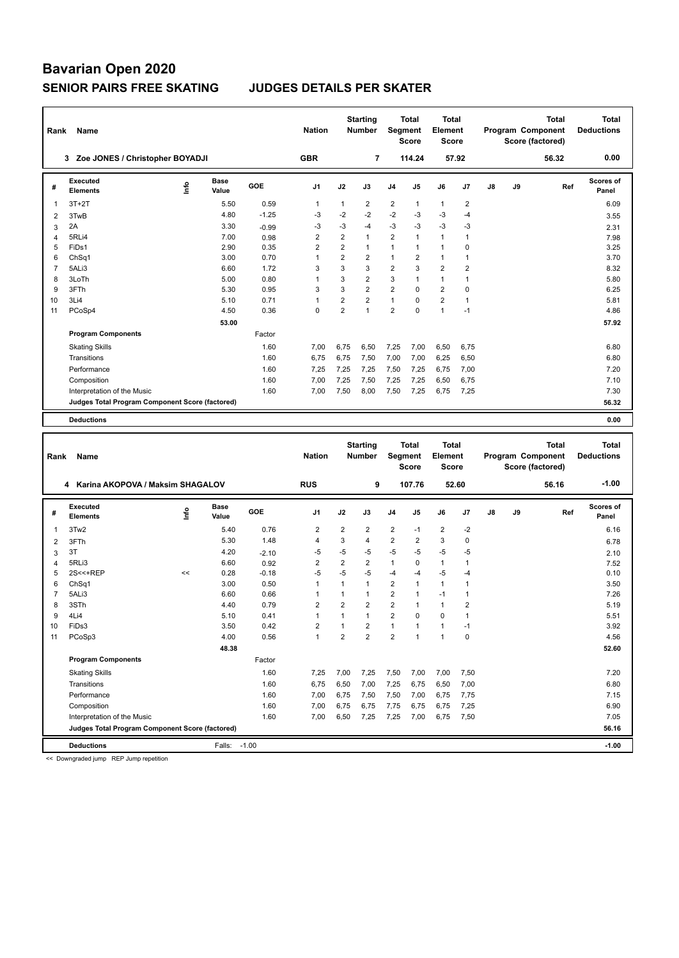| Rank           | <b>Name</b>                                     |   |               |            | <b>Nation</b>  |                | <b>Starting</b><br><b>Number</b> | <b>Segment</b> | <b>Total</b><br><b>Score</b> | <b>Total</b><br>Element<br><b>Score</b> |                |               |    | <b>Total</b><br>Program Component<br>Score (factored) | Total<br><b>Deductions</b> |
|----------------|-------------------------------------------------|---|---------------|------------|----------------|----------------|----------------------------------|----------------|------------------------------|-----------------------------------------|----------------|---------------|----|-------------------------------------------------------|----------------------------|
|                | Zoe JONES / Christopher BOYADJI<br>3            |   |               |            | <b>GBR</b>     |                | 7                                |                | 114.24                       |                                         | 57.92          |               |    | 56.32                                                 | 0.00                       |
| #              | Executed<br><b>Elements</b>                     | ۴ | Base<br>Value | <b>GOE</b> | J <sub>1</sub> | J2             | J3                               | J <sub>4</sub> | J5                           | J6                                      | J <sub>7</sub> | $\mathsf{J}8$ | J9 | Ref                                                   | Scores of<br>Panel         |
| $\overline{1}$ | $3T+2T$                                         |   | 5.50          | 0.59       | $\mathbf{1}$   | 1              | $\overline{2}$                   | $\overline{2}$ | $\mathbf{1}$                 | $\mathbf{1}$                            | $\overline{2}$ |               |    |                                                       | 6.09                       |
| 2              | 3TwB                                            |   | 4.80          | $-1.25$    | -3             | $-2$           | $-2$                             | $-2$           | $-3$                         | $-3$                                    | $-4$           |               |    |                                                       | 3.55                       |
| 3              | 2A                                              |   | 3.30          | $-0.99$    | -3             | $-3$           | $-4$                             | $-3$           | $-3$                         | $-3$                                    | -3             |               |    |                                                       | 2.31                       |
| 4              | 5RLi4                                           |   | 7.00          | 0.98       | 2              | $\overline{2}$ | $\mathbf{1}$                     | $\overline{2}$ | $\mathbf{1}$                 | $\mathbf{1}$                            | $\overline{1}$ |               |    |                                                       | 7.98                       |
| 5              | FiDs1                                           |   | 2.90          | 0.35       | $\overline{2}$ | $\overline{2}$ | 1                                | $\mathbf{1}$   | $\mathbf{1}$                 | $\mathbf{1}$                            | $\mathbf 0$    |               |    |                                                       | 3.25                       |
| 6              | ChSq1                                           |   | 3.00          | 0.70       | $\overline{1}$ | $\overline{2}$ | $\overline{2}$                   | $\mathbf{1}$   | 2                            | $\mathbf{1}$                            | $\mathbf{1}$   |               |    |                                                       | 3.70                       |
| $\overline{7}$ | 5ALi3                                           |   | 6.60          | 1.72       | 3              | 3              | 3                                | $\overline{2}$ | 3                            | $\overline{2}$                          | $\overline{2}$ |               |    |                                                       | 8.32                       |
| 8              | 3LoTh                                           |   | 5.00          | 0.80       | $\overline{1}$ | 3              | $\overline{2}$                   | 3              | $\mathbf{1}$                 | $\mathbf{1}$                            | $\overline{1}$ |               |    |                                                       | 5.80                       |
| 9              | 3FTh                                            |   | 5.30          | 0.95       | 3              | 3              | $\overline{2}$                   | $\overline{2}$ | $\Omega$                     | $\overline{2}$                          | $\mathbf 0$    |               |    |                                                       | 6.25                       |
| 10             | 3Li4                                            |   | 5.10          | 0.71       | $\overline{1}$ | $\overline{2}$ | $\overline{2}$                   | $\mathbf{1}$   | $\Omega$                     | $\overline{2}$                          | $\overline{1}$ |               |    |                                                       | 5.81                       |
| 11             | PCoSp4                                          |   | 4.50          | 0.36       | 0              | $\overline{2}$ | 1                                | $\overline{2}$ | $\Omega$                     | $\mathbf{1}$                            | $-1$           |               |    |                                                       | 4.86                       |
|                |                                                 |   | 53.00         |            |                |                |                                  |                |                              |                                         |                |               |    |                                                       | 57.92                      |
|                | <b>Program Components</b>                       |   |               | Factor     |                |                |                                  |                |                              |                                         |                |               |    |                                                       |                            |
|                | <b>Skating Skills</b>                           |   |               | 1.60       | 7,00           | 6,75           | 6,50                             | 7,25           | 7,00                         | 6,50                                    | 6,75           |               |    |                                                       | 6.80                       |
|                | Transitions                                     |   |               | 1.60       | 6,75           | 6,75           | 7,50                             | 7,00           | 7,00                         | 6,25                                    | 6,50           |               |    |                                                       | 6.80                       |
|                | Performance                                     |   |               | 1.60       | 7,25           | 7,25           | 7,25                             | 7,50           | 7,25                         | 6,75                                    | 7,00           |               |    |                                                       | 7.20                       |
|                | Composition                                     |   |               | 1.60       | 7,00           | 7,25           | 7,50                             | 7,25           | 7,25                         | 6,50                                    | 6,75           |               |    |                                                       | 7.10                       |
|                | Interpretation of the Music                     |   |               | 1.60       | 7,00           | 7,50           | 8,00                             | 7,50           | 7,25                         | 6,75                                    | 7,25           |               |    |                                                       | 7.30                       |
|                | Judges Total Program Component Score (factored) |   |               |            |                |                |                                  |                |                              |                                         |                |               |    |                                                       | 56.32                      |
|                | <b>Deductions</b>                               |   |               |            |                |                |                                  |                |                              |                                         |                |               |    |                                                       | 0.00                       |

| Rank           | Name                                            |            |                      |            | <b>Nation</b>  |                | <b>Starting</b><br><b>Number</b> | Segment        | <b>Total</b><br><b>Score</b> | <b>Total</b><br>Element<br><b>Score</b> |                |    |    | <b>Total</b><br><b>Program Component</b><br>Score (factored) | <b>Total</b><br><b>Deductions</b> |
|----------------|-------------------------------------------------|------------|----------------------|------------|----------------|----------------|----------------------------------|----------------|------------------------------|-----------------------------------------|----------------|----|----|--------------------------------------------------------------|-----------------------------------|
|                | Karina AKOPOVA / Maksim SHAGALOV<br>4           |            |                      |            | <b>RUS</b>     |                | 9                                |                | 107.76                       |                                         | 52.60          |    |    | 56.16                                                        | $-1.00$                           |
| #              | Executed<br><b>Elements</b>                     | <b>Lin</b> | <b>Base</b><br>Value | <b>GOE</b> | J <sub>1</sub> | J2             | J3                               | J <sub>4</sub> | J5                           | J6                                      | J <sub>7</sub> | J8 | J9 | Ref                                                          | Scores of<br>Panel                |
| 1              | 3Tw2                                            |            | 5.40                 | 0.76       | $\overline{2}$ | 2              | $\overline{2}$                   | $\overline{2}$ | $-1$                         | $\overline{2}$                          | $-2$           |    |    |                                                              | 6.16                              |
| 2              | 3FTh                                            |            | 5.30                 | 1.48       | 4              | 3              | 4                                | $\overline{2}$ | $\overline{2}$               | 3                                       | 0              |    |    |                                                              | 6.78                              |
| 3              | 3T                                              |            | 4.20                 | $-2.10$    | -5             | $-5$           | -5                               | $-5$           | $-5$                         | $-5$                                    | $-5$           |    |    |                                                              | 2.10                              |
| 4              | 5RLi3                                           |            | 6.60                 | 0.92       | 2              | 2              | $\overline{2}$                   | $\mathbf{1}$   | 0                            | $\mathbf{1}$                            | 1              |    |    |                                                              | 7.52                              |
| 5              | 2S<<+REP                                        | <<         | 0.28                 | $-0.18$    | $-5$           | $-5$           | $-5$                             | $-4$           | $-4$                         | $-5$                                    | $-4$           |    |    |                                                              | 0.10                              |
| 6              | Ch <sub>Sq1</sub>                               |            | 3.00                 | 0.50       | 1              | $\mathbf{1}$   | $\mathbf{1}$                     | 2              | $\mathbf{1}$                 | $\mathbf{1}$                            | 1              |    |    |                                                              | 3.50                              |
| $\overline{7}$ | 5ALi3                                           |            | 6.60                 | 0.66       | 1              | $\mathbf{1}$   | $\mathbf{1}$                     | $\overline{2}$ | $\overline{1}$               | $-1$                                    | $\mathbf{1}$   |    |    |                                                              | 7.26                              |
| 8              | 3STh                                            |            | 4.40                 | 0.79       | $\overline{2}$ | $\overline{2}$ | $\overline{2}$                   | 2              | -1                           | $\mathbf{1}$                            | 2              |    |    |                                                              | 5.19                              |
| 9              | 4Li4                                            |            | 5.10                 | 0.41       | 1              | $\mathbf{1}$   | $\mathbf{1}$                     | $\overline{2}$ | 0                            | 0                                       | $\mathbf{1}$   |    |    |                                                              | 5.51                              |
| 10             | FiDs3                                           |            | 3.50                 | 0.42       | 2              | 1              | $\overline{2}$                   | $\mathbf{1}$   | $\overline{1}$               | $\mathbf{1}$                            | $-1$           |    |    |                                                              | 3.92                              |
| 11             | PCoSp3                                          |            | 4.00                 | 0.56       | 1              | $\overline{2}$ | $\overline{2}$                   | $\overline{2}$ | $\overline{1}$               | $\mathbf{1}$                            | $\mathbf 0$    |    |    |                                                              | 4.56                              |
|                |                                                 |            | 48.38                |            |                |                |                                  |                |                              |                                         |                |    |    |                                                              | 52.60                             |
|                | <b>Program Components</b>                       |            |                      | Factor     |                |                |                                  |                |                              |                                         |                |    |    |                                                              |                                   |
|                | <b>Skating Skills</b>                           |            |                      | 1.60       | 7,25           | 7,00           | 7,25                             | 7,50           | 7,00                         | 7,00                                    | 7,50           |    |    |                                                              | 7.20                              |
|                | Transitions                                     |            |                      | 1.60       | 6.75           | 6,50           | 7.00                             | 7,25           | 6,75                         | 6,50                                    | 7,00           |    |    |                                                              | 6.80                              |
|                | Performance                                     |            |                      | 1.60       | 7,00           | 6,75           | 7,50                             | 7,50           | 7,00                         | 6,75                                    | 7,75           |    |    |                                                              | 7.15                              |
|                | Composition                                     |            |                      | 1.60       | 7,00           | 6,75           | 6,75                             | 7,75           | 6,75                         | 6,75                                    | 7,25           |    |    |                                                              | 6.90                              |
|                | Interpretation of the Music                     |            |                      | 1.60       | 7,00           | 6,50           | 7,25                             | 7,25           | 7,00                         | 6,75                                    | 7,50           |    |    |                                                              | 7.05                              |
|                | Judges Total Program Component Score (factored) |            |                      |            |                |                |                                  |                |                              |                                         |                |    |    |                                                              | 56.16                             |
|                | <b>Deductions</b>                               |            | Falls:               | $-1.00$    |                |                |                                  |                |                              |                                         |                |    |    |                                                              | $-1.00$                           |

<< Downgraded jump REP Jump repetition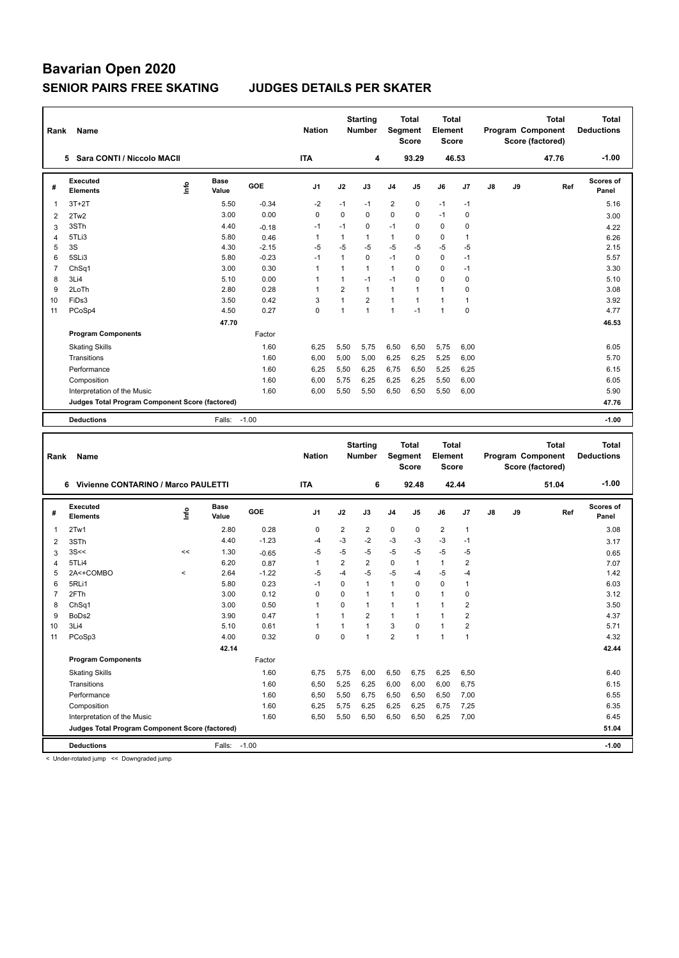| Rank           | <b>Name</b>                                     |    |                      |            | <b>Nation</b>  |                | <b>Starting</b><br><b>Number</b> | <b>Segment</b> | <b>Total</b><br><b>Score</b> | <b>Total</b><br>Element<br><b>Score</b> |                |               |    | <b>Total</b><br>Program Component<br>Score (factored) | <b>Total</b><br><b>Deductions</b> |
|----------------|-------------------------------------------------|----|----------------------|------------|----------------|----------------|----------------------------------|----------------|------------------------------|-----------------------------------------|----------------|---------------|----|-------------------------------------------------------|-----------------------------------|
|                | Sara CONTI / Niccolo MACII<br>5.                |    |                      |            | <b>ITA</b>     |                | 4                                |                | 93.29                        | 46.53                                   |                |               |    | 47.76                                                 | $-1.00$                           |
| #              | Executed<br><b>Elements</b>                     | ۴ů | <b>Base</b><br>Value | <b>GOE</b> | J <sub>1</sub> | J2             | J3                               | J <sub>4</sub> | J <sub>5</sub>               | J6                                      | J <sub>7</sub> | $\mathsf{J}8$ | J9 | Ref                                                   | <b>Scores of</b><br>Panel         |
| $\overline{1}$ | $3T+2T$                                         |    | 5.50                 | $-0.34$    | $-2$           | $-1$           | $-1$                             | $\overline{2}$ | $\mathbf 0$                  | $-1$                                    | $-1$           |               |    |                                                       | 5.16                              |
| 2              | 2Tw2                                            |    | 3.00                 | 0.00       | $\Omega$       | $\Omega$       | $\Omega$                         | $\Omega$       | $\Omega$                     | $-1$                                    | $\mathbf 0$    |               |    |                                                       | 3.00                              |
| 3              | 3STh                                            |    | 4.40                 | $-0.18$    | -1             | $-1$           | 0                                | $-1$           | 0                            | 0                                       | 0              |               |    |                                                       | 4.22                              |
| $\overline{4}$ | 5TLi3                                           |    | 5.80                 | 0.46       | $\overline{1}$ | $\mathbf{1}$   | 1                                | $\mathbf{1}$   | 0                            | $\mathbf 0$                             | $\overline{1}$ |               |    |                                                       | 6.26                              |
| 5              | 3S                                              |    | 4.30                 | $-2.15$    | $-5$           | $-5$           | $-5$                             | $-5$           | $-5$                         | $-5$                                    | $-5$           |               |    |                                                       | 2.15                              |
| 6              | 5SLi3                                           |    | 5.80                 | $-0.23$    | $-1$           | $\mathbf{1}$   | 0                                | $-1$           | $\Omega$                     | 0                                       | $-1$           |               |    |                                                       | 5.57                              |
| $\overline{7}$ | ChSq1                                           |    | 3.00                 | 0.30       | $\mathbf{1}$   | 1              | 1                                | $\mathbf{1}$   | 0                            | 0                                       | $-1$           |               |    |                                                       | 3.30                              |
| 8              | 3Li4                                            |    | 5.10                 | 0.00       | $\overline{1}$ | 1              | $-1$                             | $-1$           | $\Omega$                     | 0                                       | $\mathbf 0$    |               |    |                                                       | 5.10                              |
| 9              | 2LoTh                                           |    | 2.80                 | 0.28       | $\overline{1}$ | $\overline{2}$ | $\mathbf{1}$                     | $\mathbf{1}$   | 1                            | 1                                       | 0              |               |    |                                                       | 3.08                              |
| 10             | FiDs3                                           |    | 3.50                 | 0.42       | 3              | $\overline{1}$ | $\overline{2}$                   | $\mathbf{1}$   | $\mathbf{1}$                 | $\mathbf{1}$                            | $\overline{1}$ |               |    |                                                       | 3.92                              |
| 11             | PCoSp4                                          |    | 4.50                 | 0.27       | $\mathbf 0$    | $\mathbf{1}$   | 1                                | $\overline{1}$ | $-1$                         | 1                                       | $\mathbf 0$    |               |    |                                                       | 4.77                              |
|                |                                                 |    | 47.70                |            |                |                |                                  |                |                              |                                         |                |               |    |                                                       | 46.53                             |
|                | <b>Program Components</b>                       |    |                      | Factor     |                |                |                                  |                |                              |                                         |                |               |    |                                                       |                                   |
|                | <b>Skating Skills</b>                           |    |                      | 1.60       | 6,25           | 5,50           | 5,75                             | 6,50           | 6,50                         | 5,75                                    | 6,00           |               |    |                                                       | 6.05                              |
|                | Transitions                                     |    |                      | 1.60       | 6.00           | 5,00           | 5.00                             | 6.25           | 6,25                         | 5,25                                    | 6,00           |               |    |                                                       | 5.70                              |
|                | Performance                                     |    |                      | 1.60       | 6,25           | 5,50           | 6,25                             | 6,75           | 6,50                         | 5,25                                    | 6,25           |               |    |                                                       | 6.15                              |
|                | Composition                                     |    |                      | 1.60       | 6,00           | 5,75           | 6,25                             | 6,25           | 6,25                         | 5,50                                    | 6,00           |               |    |                                                       | 6.05                              |
|                | Interpretation of the Music                     |    |                      | 1.60       | 6,00           | 5,50           | 5,50                             | 6,50           | 6,50                         | 5,50                                    | 6,00           |               |    |                                                       | 5.90                              |
|                | Judges Total Program Component Score (factored) |    |                      |            |                |                |                                  |                |                              |                                         |                |               |    |                                                       | 47.76                             |
|                | <b>Deductions</b>                               |    | Falls: -1.00         |            |                |                |                                  |                |                              |                                         |                |               |    |                                                       | $-1.00$                           |

| Rank           | Name                                            |         |                      |            | <b>Nation</b>  |                | <b>Starting</b><br><b>Number</b> | Segment        | <b>Total</b><br><b>Score</b> | <b>Total</b><br>Element<br><b>Score</b> |                |    |    | <b>Total</b><br>Program Component<br>Score (factored) | <b>Total</b><br><b>Deductions</b> |
|----------------|-------------------------------------------------|---------|----------------------|------------|----------------|----------------|----------------------------------|----------------|------------------------------|-----------------------------------------|----------------|----|----|-------------------------------------------------------|-----------------------------------|
|                | Vivienne CONTARINO / Marco PAULETTI<br>6.       |         |                      |            | <b>ITA</b>     |                | 6                                |                | 92.48                        |                                         | 42.44          |    |    | 51.04                                                 | $-1.00$                           |
| #              | Executed<br><b>Elements</b>                     | ١nfo    | <b>Base</b><br>Value | <b>GOE</b> | J <sub>1</sub> | J2             | J3                               | J <sub>4</sub> | J5                           | J6                                      | J <sub>7</sub> | J8 | J9 | Ref                                                   | <b>Scores of</b><br>Panel         |
| $\overline{1}$ | 2Tw1                                            |         | 2.80                 | 0.28       | 0              | $\overline{2}$ | 2                                | $\pmb{0}$      | 0                            | $\overline{2}$                          | $\mathbf{1}$   |    |    |                                                       | 3.08                              |
| 2              | 3STh                                            |         | 4.40                 | $-1.23$    | $-4$           | $-3$           | $-2$                             | $-3$           | $-3$                         | $-3$                                    | $-1$           |    |    |                                                       | 3.17                              |
| 3              | 3S<<                                            | <<      | 1.30                 | $-0.65$    | -5             | $-5$           | -5                               | $-5$           | -5                           | $-5$                                    | $-5$           |    |    |                                                       | 0.65                              |
| $\overline{4}$ | 5TLi4                                           |         | 6.20                 | 0.87       | $\mathbf 1$    | $\overline{2}$ | $\overline{2}$                   | $\mathbf 0$    | 1                            | $\mathbf{1}$                            | $\overline{2}$ |    |    |                                                       | 7.07                              |
| 5              | 2A<+COMBO                                       | $\prec$ | 2.64                 | $-1.22$    | $-5$           | $-4$           | $-5$                             | $-5$           | $-4$                         | $-5$                                    | $-4$           |    |    |                                                       | 1.42                              |
| 6              | 5RLi1                                           |         | 5.80                 | 0.23       | $-1$           | $\mathbf 0$    | $\mathbf{1}$                     | $\mathbf{1}$   | 0                            | $\mathbf 0$                             | $\mathbf{1}$   |    |    |                                                       | 6.03                              |
| $\overline{7}$ | 2FTh                                            |         | 3.00                 | 0.12       | 0              | 0              | $\mathbf{1}$                     | $\mathbf{1}$   | $\Omega$                     | $\mathbf{1}$                            | 0              |    |    |                                                       | 3.12                              |
| 8              | Ch <sub>Sq1</sub>                               |         | 3.00                 | 0.50       | -1             | $\Omega$       | 1                                | $\mathbf{1}$   | -1                           | $\mathbf{1}$                            | $\overline{2}$ |    |    |                                                       | 3.50                              |
| 9              | BoDs2                                           |         | 3.90                 | 0.47       | $\overline{1}$ | $\mathbf{1}$   | $\overline{2}$                   | $\mathbf{1}$   | $\mathbf{1}$                 | $\mathbf{1}$                            | 2              |    |    |                                                       | 4.37                              |
| 10             | 3Li4                                            |         | 5.10                 | 0.61       | -1             | 1              | $\mathbf{1}$                     | 3              | $\mathbf 0$                  | $\mathbf{1}$                            | $\overline{2}$ |    |    |                                                       | 5.71                              |
| 11             | PCoSp3                                          |         | 4.00                 | 0.32       | 0              | $\mathbf 0$    | 1                                | $\overline{2}$ | $\overline{1}$               | $\mathbf{1}$                            | 1              |    |    |                                                       | 4.32                              |
|                |                                                 |         | 42.14                |            |                |                |                                  |                |                              |                                         |                |    |    |                                                       | 42.44                             |
|                | <b>Program Components</b>                       |         |                      | Factor     |                |                |                                  |                |                              |                                         |                |    |    |                                                       |                                   |
|                | <b>Skating Skills</b>                           |         |                      | 1.60       | 6,75           | 5,75           | 6,00                             | 6,50           | 6,75                         | 6,25                                    | 6,50           |    |    |                                                       | 6.40                              |
|                | Transitions                                     |         |                      | 1.60       | 6.50           | 5,25           | 6.25                             | 6,00           | 6,00                         | 6,00                                    | 6,75           |    |    |                                                       | 6.15                              |
|                | Performance                                     |         |                      | 1.60       | 6,50           | 5,50           | 6,75                             | 6,50           | 6,50                         | 6,50                                    | 7,00           |    |    |                                                       | 6.55                              |
|                | Composition                                     |         |                      | 1.60       | 6,25           | 5,75           | 6,25                             | 6,25           | 6,25                         | 6,75                                    | 7,25           |    |    |                                                       | 6.35                              |
|                | Interpretation of the Music                     |         |                      | 1.60       | 6,50           | 5,50           | 6,50                             | 6,50           | 6,50                         | 6,25                                    | 7,00           |    |    |                                                       | 6.45                              |
|                | Judges Total Program Component Score (factored) |         |                      |            |                |                |                                  |                |                              |                                         |                |    |    |                                                       | 51.04                             |
|                | <b>Deductions</b>                               |         | Falls: -1.00         |            |                |                |                                  |                |                              |                                         |                |    |    |                                                       | $-1.00$                           |

< Under-rotated jump << Downgraded jump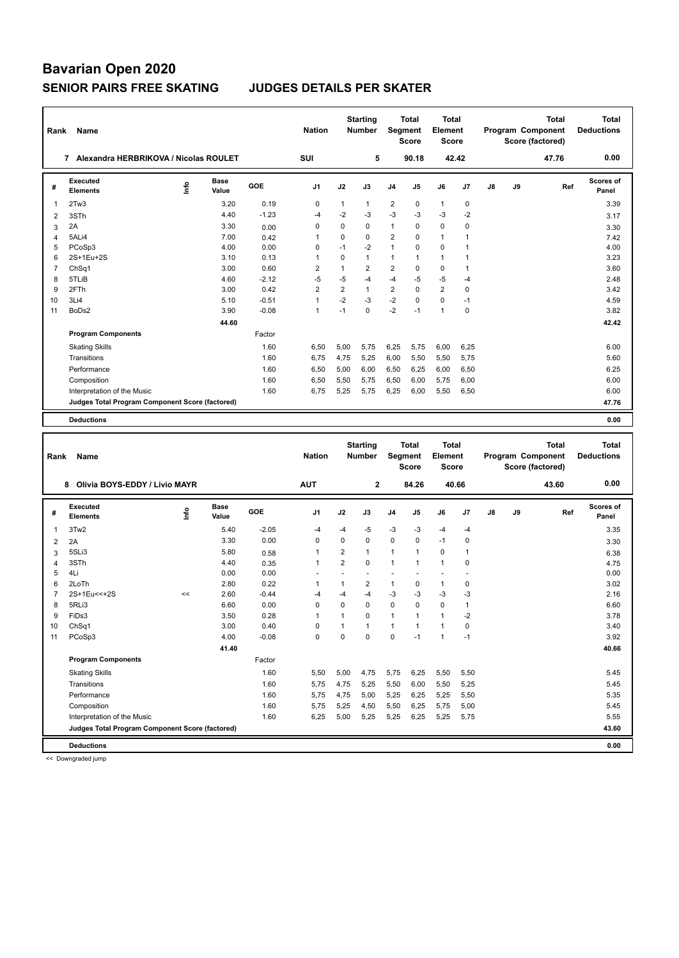| Rank           | <b>Name</b>                                     |    |                      |            | <b>Nation</b>  |                | <b>Starting</b><br><b>Number</b> | <b>Segment</b> | <b>Total</b><br><b>Score</b> | <b>Total</b><br>Element<br><b>Score</b> |                |    |    | Total<br>Program Component<br>Score (factored) | Total<br><b>Deductions</b> |
|----------------|-------------------------------------------------|----|----------------------|------------|----------------|----------------|----------------------------------|----------------|------------------------------|-----------------------------------------|----------------|----|----|------------------------------------------------|----------------------------|
|                | Alexandra HERBRIKOVA / Nicolas ROULET<br>7      |    |                      |            | <b>SUI</b>     |                | 5                                |                | 90.18                        |                                         | 42.42          |    |    | 47.76                                          | 0.00                       |
| #              | Executed<br><b>Elements</b>                     | ۴ů | <b>Base</b><br>Value | <b>GOE</b> | J <sub>1</sub> | J2             | J3                               | J <sub>4</sub> | J <sub>5</sub>               | J6                                      | J <sub>7</sub> | J8 | J9 | Ref                                            | <b>Scores of</b><br>Panel  |
| $\overline{1}$ | 2Tw3                                            |    | 3.20                 | 0.19       | 0              | $\mathbf{1}$   | $\mathbf{1}$                     | $\overline{2}$ | $\mathbf 0$                  | $\mathbf{1}$                            | 0              |    |    |                                                | 3.39                       |
| 2              | 3STh                                            |    | 4.40                 | $-1.23$    | -4             | $-2$           | $-3$                             | $-3$           | $-3$                         | $-3$                                    | $-2$           |    |    |                                                | 3.17                       |
| 3              | 2A                                              |    | 3.30                 | 0.00       | 0              | $\mathbf 0$    | 0                                | $\mathbf{1}$   | 0                            | 0                                       | 0              |    |    |                                                | 3.30                       |
| $\overline{4}$ | 5ALi4                                           |    | 7.00                 | 0.42       | $\mathbf 1$    | 0              | $\Omega$                         | $\overline{2}$ | $\Omega$                     | $\mathbf{1}$                            | $\mathbf{1}$   |    |    |                                                | 7.42                       |
| 5              | PCoSp3                                          |    | 4.00                 | 0.00       | 0              | $-1$           | $-2$                             | $\mathbf{1}$   | 0                            | 0                                       | $\overline{1}$ |    |    |                                                | 4.00                       |
| 6              | 2S+1Eu+2S                                       |    | 3.10                 | 0.13       | $\mathbf 1$    | $\mathbf 0$    | 1                                | $\mathbf{1}$   | $\mathbf{1}$                 | $\mathbf{1}$                            | -1             |    |    |                                                | 3.23                       |
| $\overline{7}$ | ChSq1                                           |    | 3.00                 | 0.60       | $\overline{2}$ | 1              | 2                                | $\overline{2}$ | $\mathbf 0$                  | 0                                       | $\mathbf 1$    |    |    |                                                | 3.60                       |
| 8              | 5TLiB                                           |    | 4.60                 | $-2.12$    | $-5$           | $-5$           | $-4$                             | $-4$           | $-5$                         | $-5$                                    | -4             |    |    |                                                | 2.48                       |
| 9              | 2FTh                                            |    | 3.00                 | 0.42       | $\overline{2}$ | $\overline{2}$ | $\mathbf{1}$                     | $\overline{2}$ | $\Omega$                     | $\overline{2}$                          | $\mathbf 0$    |    |    |                                                | 3.42                       |
| 10             | 3Li4                                            |    | 5.10                 | $-0.51$    | $\overline{1}$ | $-2$           | -3                               | $-2$           | $\Omega$                     | 0                                       | $-1$           |    |    |                                                | 4.59                       |
| 11             | BoDs2                                           |    | 3.90                 | $-0.08$    | $\mathbf{1}$   | $-1$           | 0                                | $-2$           | $-1$                         | 1                                       | $\mathbf 0$    |    |    |                                                | 3.82                       |
|                |                                                 |    | 44.60                |            |                |                |                                  |                |                              |                                         |                |    |    |                                                | 42.42                      |
|                | <b>Program Components</b>                       |    |                      | Factor     |                |                |                                  |                |                              |                                         |                |    |    |                                                |                            |
|                | <b>Skating Skills</b>                           |    |                      | 1.60       | 6,50           | 5,00           | 5,75                             | 6,25           | 5,75                         | 6,00                                    | 6,25           |    |    |                                                | 6.00                       |
|                | Transitions                                     |    |                      | 1.60       | 6.75           | 4.75           | 5.25                             | 6.00           | 5,50                         | 5.50                                    | 5.75           |    |    |                                                | 5.60                       |
|                | Performance                                     |    |                      | 1.60       | 6,50           | 5,00           | 6,00                             | 6,50           | 6,25                         | 6,00                                    | 6,50           |    |    |                                                | 6.25                       |
|                | Composition                                     |    |                      | 1.60       | 6,50           | 5,50           | 5,75                             | 6,50           | 6,00                         | 5,75                                    | 6,00           |    |    |                                                | 6.00                       |
|                | Interpretation of the Music                     |    |                      | 1.60       | 6,75           | 5,25           | 5,75                             | 6,25           | 6,00                         | 5,50                                    | 6,50           |    |    |                                                | 6.00                       |
|                | Judges Total Program Component Score (factored) |    |                      |            |                |                |                                  |                |                              |                                         |                |    |    |                                                | 47.76                      |
|                | <b>Deductions</b>                               |    |                      |            |                |                |                                  |                |                              |                                         |                |    |    |                                                | 0.00                       |

| Rank           | Name                                            |      |                      |            | <b>Nation</b>  |                | <b>Starting</b><br><b>Number</b> |                | <b>Total</b><br>Segment<br><b>Score</b> | <b>Total</b><br>Element<br><b>Score</b> |          |    |    | <b>Total</b><br><b>Program Component</b><br>Score (factored) | <b>Total</b><br><b>Deductions</b> |
|----------------|-------------------------------------------------|------|----------------------|------------|----------------|----------------|----------------------------------|----------------|-----------------------------------------|-----------------------------------------|----------|----|----|--------------------------------------------------------------|-----------------------------------|
|                | Olivia BOYS-EDDY / Livio MAYR<br>8              |      |                      |            | <b>AUT</b>     |                | $\mathbf{2}$                     |                | 84.26                                   |                                         | 40.66    |    |    | 43.60                                                        | 0.00                              |
| #              | Executed<br><b>Elements</b>                     | info | <b>Base</b><br>Value | <b>GOE</b> | J <sub>1</sub> | J2             | J3                               | J <sub>4</sub> | J5                                      | J6                                      | J7       | J8 | J9 | Ref                                                          | Scores of<br>Panel                |
| 1              | 3Tw2                                            |      | 5.40                 | $-2.05$    | $-4$           | -4             | -5                               | $-3$           | -3                                      | $-4$                                    | $-4$     |    |    |                                                              | 3.35                              |
| $\overline{2}$ | 2A                                              |      | 3.30                 | 0.00       | 0              | $\mathbf 0$    | $\mathbf 0$                      | $\mathbf 0$    | 0                                       | $-1$                                    | 0        |    |    |                                                              | 3.30                              |
| 3              | 5SLi3                                           |      | 5.80                 | 0.58       | $\overline{1}$ | $\overline{2}$ | $\mathbf{1}$                     | $\mathbf{1}$   | 1                                       | $\mathbf 0$                             | 1        |    |    |                                                              | 6.38                              |
| 4              | 3STh                                            |      | 4.40                 | 0.35       | $\overline{1}$ | $\overline{2}$ | $\Omega$                         | $\mathbf{1}$   | $\overline{1}$                          | $\mathbf{1}$                            | $\Omega$ |    |    |                                                              | 4.75                              |
| 5              | 4Li                                             |      | 0.00                 | 0.00       |                |                |                                  |                |                                         |                                         |          |    |    |                                                              | 0.00                              |
| 6              | 2LoTh                                           |      | 2.80                 | 0.22       | $\overline{1}$ | $\mathbf{1}$   | $\overline{2}$                   | $\mathbf{1}$   | $\mathbf 0$                             | $\mathbf{1}$                            | 0        |    |    |                                                              | 3.02                              |
| $\overline{7}$ | 2S+1Eu<<+2S                                     | <<   | 2.60                 | $-0.44$    | $-4$           | $-4$           | -4                               | $-3$           | $-3$                                    | $-3$                                    | $-3$     |    |    |                                                              | 2.16                              |
| 8              | 5RLi3                                           |      | 6.60                 | 0.00       | $\Omega$       | $\Omega$       | $\Omega$                         | $\mathbf 0$    | $\Omega$                                | $\mathbf 0$                             | 1        |    |    |                                                              | 6.60                              |
| 9              | FiDs3                                           |      | 3.50                 | 0.28       | 1              | $\mathbf{1}$   | 0                                | $\mathbf{1}$   | 1                                       | $\mathbf{1}$                            | $-2$     |    |    |                                                              | 3.78                              |
| 10             | ChSq1                                           |      | 3.00                 | 0.40       | 0              | $\mathbf{1}$   | $\mathbf{1}$                     | $\mathbf{1}$   | $\overline{1}$                          | $\mathbf{1}$                            | 0        |    |    |                                                              | 3.40                              |
| 11             | PCoSp3                                          |      | 4.00                 | $-0.08$    | $\mathbf 0$    | $\mathbf 0$    | $\Omega$                         | $\mathbf 0$    | $-1$                                    | $\mathbf{1}$                            | $-1$     |    |    |                                                              | 3.92                              |
|                |                                                 |      | 41.40                |            |                |                |                                  |                |                                         |                                         |          |    |    |                                                              | 40.66                             |
|                | <b>Program Components</b>                       |      |                      | Factor     |                |                |                                  |                |                                         |                                         |          |    |    |                                                              |                                   |
|                | <b>Skating Skills</b>                           |      |                      | 1.60       | 5,50           | 5,00           | 4,75                             | 5,75           | 6,25                                    | 5,50                                    | 5,50     |    |    |                                                              | 5.45                              |
|                | Transitions                                     |      |                      | 1.60       | 5.75           | 4,75           | 5,25                             | 5,50           | 6,00                                    | 5,50                                    | 5,25     |    |    |                                                              | 5.45                              |
|                | Performance                                     |      |                      | 1.60       | 5,75           | 4,75           | 5,00                             | 5,25           | 6,25                                    | 5,25                                    | 5,50     |    |    |                                                              | 5.35                              |
|                | Composition                                     |      |                      | 1.60       | 5,75           | 5,25           | 4,50                             | 5,50           | 6,25                                    | 5,75                                    | 5,00     |    |    |                                                              | 5.45                              |
|                | Interpretation of the Music                     |      |                      | 1.60       | 6,25           | 5,00           | 5,25                             | 5,25           | 6,25                                    | 5,25                                    | 5,75     |    |    |                                                              | 5.55                              |
|                | Judges Total Program Component Score (factored) |      |                      |            |                |                |                                  |                |                                         |                                         |          |    |    |                                                              | 43.60                             |
|                | <b>Deductions</b>                               |      |                      |            |                |                |                                  |                |                                         |                                         |          |    |    |                                                              | 0.00                              |

<< Downgraded jump